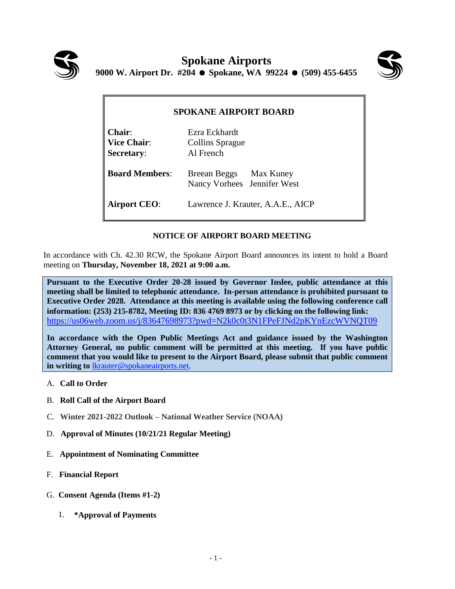



| <b>SPOKANE AIRPORT BOARD</b>                |                                                       |
|---------------------------------------------|-------------------------------------------------------|
| $Chair$<br>Vice Chair:<br><b>Secretary:</b> | Ezra Eckhardt<br>Collins Sprague<br>Al French         |
| <b>Board Members:</b>                       | Breean Beggs Max Kuney<br>Nancy Vorhees Jennifer West |
| <b>Airport CEO:</b>                         | Lawrence J. Krauter, A.A.E., AICP                     |

## **NOTICE OF AIRPORT BOARD MEETING**

In accordance with Ch. 42.30 RCW, the Spokane Airport Board announces its intent to hold a Board meeting on **Thursday, November 18, 2021 at 9:00 a.m.**

**Pursuant to the Executive Order 20-28 issued by Governor Inslee, public attendance at this meeting shall be limited to telephonic attendance. In-person attendance is prohibited pursuant to Executive Order 2028. Attendance at this meeting is available using the following conference call information: (253) 215-8782, Meeting ID: 836 4769 8973 or by clicking on the following link:** <https://us06web.zoom.us/j/83647698973?pwd=N2k0c0t3N1FPeFJNd2pKYnEzcWVNQT09>

**In accordance with the Open Public Meetings Act and guidance issued by the Washington Attorney General, no public comment will be permitted at this meeting. If you have public comment that you would like to present to the Airport Board, please submit that public comment in writing to** [lkrauter@spokaneairports.net.](mailto:lkrauter@spokaneairports.net)

- A. **Call to Order**
- B. **Roll Call of the Airport Board**
- C. **Winter 2021-2022 Outlook – National Weather Service (NOAA)**
- D. **Approval of Minutes (10/21/21 Regular Meeting)**
- E. **Appointment of Nominating Committee**
- F. **Financial Report**
- G. **Consent Agenda (Items #1-2)**
	- 1. **\*Approval of Payments**